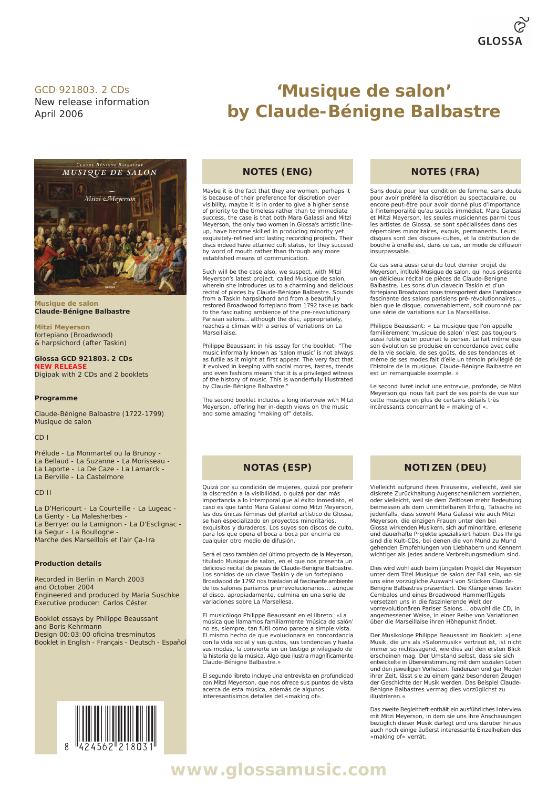#### GCD 921803. 2 CDs

New release information April 2006



**Musique de salon Claude-Bénigne Balbastre**

**Mitzi Meyerson** fortepiano (Broadwood) & harpsichord (after Taskin)

**Glossa GCD 921803. 2 CDs NEW RELEASE** Digipak with 2 CDs and 2 booklets

**Programme**

Claude-Bénigne Balbastre (1722-1799) *Musique de salon*

CD I

Prélude - La Monmartel ou la Brunoy - La Bellaud - La Suzanne - La Morisseau - La Laporte - La De Caze - La Lamarck - La Berville - La Castelmore

#### CD II

La D'Hericourt - La Courteille - La Lugeac - La Genty - La Malesherbes -La Berryer ou la Lamignon - La D'Esclignac - La Segur - La Boullogne Marche des Marseillois et l'air Ça-Ira

#### **Production details**

Recorded in Berlin in March 2003 and October 2004 Engineered and produced by Maria Suschke Executive producer: Carlos Céster

Booklet essays by Philippe Beaussant and Boris Kehrmann Design 00:03:00 oficina tresminutos Booklet in English - Français - Deutsch - Español



#### **NOTES (ENG)**

Maybe it is the fact that they are women, perhaps it is because of their preference for discretion over visibility, maybe it is in order to give a higher sense of priority to the timeless rather than to immediate success, the case is that both Mara Galassi and Mitzi Meyerson, the only two women in Glossa's artistic line-up, have become skilled in producing minority yet exquisitely-refined and lasting recording projects. Their discs indeed have attained cult status, for they succeed by word of mouth rather than through any more established means of communication.

Such will be the case also, we suspect, with Mitzi Meyerson's latest project, called *Musique de salon*, wherein she introduces us to a charming and delicious recital of pieces by Claude-Bénigne Balbastre. Sounds from a Taskin harpsichord and from a beautifully restored Broadwood fortepiano from 1792 take us back to the fascinating ambience of the pre-revolutionary Parisian salons... although the disc, appropriately, reaches a climax with a series of variations on *La Marseillaise*.

Philippe Beaussant in his essay for the booklet: "The music informally known as 'salon music' is not always as futile as it might at first appear. The very fact that it evolved in keeping with social mores, tastes, trends and even fashions means that it is a privileged witness of the history of music. This is wonderfully illustrated by Claude-Bénigne Balbastre."

The second booklet includes a long interview with Mitzi Meyerson, offering her in-depth views on the music and some amazing "making of" details.

## **NOTES (FRA)**

**'Musique de salon'**

**by Claude-Bénigne Balbastre**

Sans doute pour leur condition de femme, sans doute pour avoir préféré la discrétion au spectaculaire, ou encore peut-être pour avoir donné plus d'importance à l'intemporalité qu'au succès immédiat, Mara Galassi et Mitzi Meyerson, les seules musiciennes parmi tous les artistes de Glossa, se sont spécialisées dans des répertoires minoritaires, exquis, permanents. Leurs disques sont des disques-cultes, et la distribution de bouche à oreille est, dans ce cas, un mode de diffusion insurpassable.

Ce cas sera aussi celui du tout dernier projet de Meyerson, intitulé *Musique de salon*, qui nous présente un délicieux récital de pièces de Claude-Benigne Balbastre. Les sons d'un clavecin Taskin et d'un fortepiano Broadwood nous transportent dans l'ambiance fascinante des salons parisiens pré-révolutionnaires... bien que le disque, convenablement, soit couronné par une série de variations sur *La Marseillaise*.

Philippe Beaussant: « La musique que l'on appelle familièrement 'musique de salon' n'est pas toujours aussi futile qu'on pourrait le penser. Le fait même que son évolution se produise en concordance avec celle de la vie sociale, de ses goûts, de ses tendances et même de ses modes fait d'elle un témoin privilégié de l'histoire de la musique. Claude-Bénigne Balbastre en est un remarquable exemple. »

Le second livret inclut une entrevue, profonde, de Mitzi Meyerson qui nous fait part de ses points de vue sur cette musique en plus de certains détails très intéressants concernant le « making of ».

## **NOTAS (ESP)**

Quizá por su condición de mujeres, quizá por preferir la discreción a la visibilidad, o quizá por dar más importancia a lo intemporal que al éxito inmediato, el caso es que tanto Mara Galassi como Mitzi Meyerson, las dos únicas féminas del plantel artístico de Glossa, se han especializado en proyectos minoritarios, exquisitos y duraderos. Los suyos son discos de culto, para los que opera el boca a boca por encima de cualquier otro medio de difusión.

Será el caso también del último proyecto de la Meyerson, titulado *Musique de salon*, en el que nos presenta un delicioso recital de piezas de Claude-Benigne Balbastre. Los sonidos de un clave Taskin y de un fortepiano Broadwood de 1792 nos trasladan al fascinante ambiente de los salones parisinos prerrevolucionarios... aunque el disco, apropiadamente, culmina en una serie de variaciones sobre *La Marsellesa*.

El musicólogo Philippe Beaussant en el libreto: «La música que llamamos familiarmente 'música de salón' no es, siempre, tan fútil como parece a simple vista. El mismo hecho de que evolucionara en concordancia con la vida social y sus gustos, sus tendencias y hasta sus modas, la convierte en un testigo privilegiado de la historia de la música. Algo que ilustra magníficamente Claude-Bénigne Balbastre.»

El segundo libreto incluye una entrevista en profundidad con Mitzi Meyerson, que nos ofrece sus puntos de vista acerca de esta música, además de algunos interesantísimos detalles del «making of».

## **NOTIZEN (DEU)**

Vielleicht aufgrund ihres Frauseins, vielleicht, weil sie diskrete Zurückhaltung Augenscheinlichem vorziehen, oder vielleicht, weil sie dem Zeitlosen mehr Bedeutung beimessen als dem unmittelbaren Erfolg, Tatsache ist jedenfalls, dass sowohl Mara Galassi wie auch Mitzi Meyerson, die einzigen Frauen unter den bei Glossa wirkenden Musikern, sich auf minoritäre, erlesene und dauerhafte Projekte spezialisiert haben. Das Ihrige sind die Kult-CDs, bei denen die von Mund zu Mund gehenden Empfehlungen von Liebhabern und Kennern wichtiger als jedes andere Verbreitungsmedium sind.

Dies wird wohl auch beim jüngsten Projekt der Meyerson unter dem Titel *Musique de salon* der Fall sein, wo sie uns eine vorzügliche Auswahl von Stücken Claude-Benigne Balbastres präsentiert. Die Klänge eines Taskin Cembalos und eines Broadwood Hammerflügels versetzen uns in die faszinierende Welt der vorrevolutionären Pariser Salons... obwohl die CD, in angemessener Weise, in einer Reihe von Variationen über die *Marseillaise* ihren Höhepunkt findet.

Der Musikologe Philippe Beaussant im Booklet: »Jene Musik, die uns als »Salonmusik« vertraut ist, ist nicht immer so nichtssagend, wie dies auf den ersten Blick erscheinen mag. Der Umstand selbst, dass sie sich entwickelte in Übereinstimmung mit dem sozialen Leben und den jeweiligen Vorlieben, Tendenzen und gar Moden ihrer Zeit, lässt sie zu einem ganz besonderen Zeugen der Geschichte der Musik werden. Das Beispiel Claude-Bénigne Balbastres vermag dies vorzüglichst zu illustrieren.«

Das zweite Begleitheft enthält ein ausführliches Interview mit Mitzi Meyerson, in dem sie uns ihre Anschauungen bezüglich dieser Musik darlegt und uns darüber hinaus auch noch einige äußerst interessante Einzelheiten des »making of« verrät.

**www.glossamusic.com**